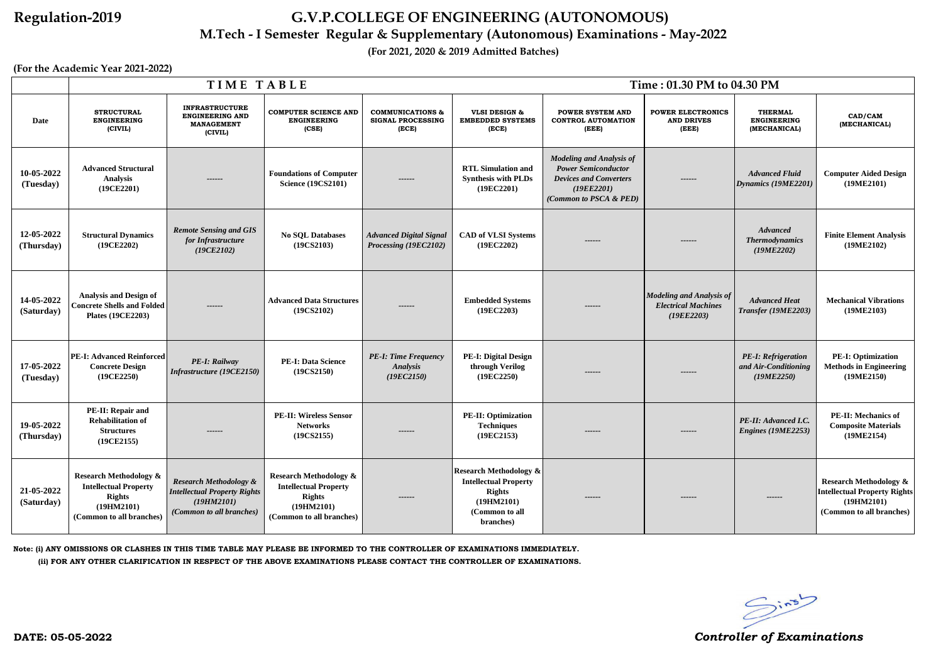|                          |                                                                                                                              | TIME TABLE                                                                                                         |                                                                                                                                                                                                                                                                                               | Time: 01.30 PM to 04.30 PM                                   |                                                                                                                                                                                                                           |                                                      |                                                                             |                                                                  |                                                                                                                    |
|--------------------------|------------------------------------------------------------------------------------------------------------------------------|--------------------------------------------------------------------------------------------------------------------|-----------------------------------------------------------------------------------------------------------------------------------------------------------------------------------------------------------------------------------------------------------------------------------------------|--------------------------------------------------------------|---------------------------------------------------------------------------------------------------------------------------------------------------------------------------------------------------------------------------|------------------------------------------------------|-----------------------------------------------------------------------------|------------------------------------------------------------------|--------------------------------------------------------------------------------------------------------------------|
| Date                     | <b>STRUCTURAL</b><br><b>ENGINEERING</b><br>(CIVIL)                                                                           | <b>INFRASTRUCTURE</b><br><b>ENGINEERING AND</b><br><b>MANAGEMENT</b><br>(CIVIL)                                    | <b>COMPUTER SCIENCE AND</b><br><b>COMMUNICATIONS &amp;</b><br><b>VLSI DESIGN &amp;</b><br><b>POWER SYSTEM AND</b><br><b>ENGINEERING</b><br><b>SIGNAL PROCESSING</b><br><b>EMBEDDED SYSTEMS</b><br><b>CONTROL AUTOMATION</b><br><b>AND DRIVES</b><br>(CSE)<br>(ECE)<br>(ECE)<br>(EEE)<br>(EEE) |                                                              | <b>POWER ELECTRONICS</b>                                                                                                                                                                                                  | <b>THERMAL</b><br><b>ENGINEERING</b><br>(MECHANICAL) | CAD/CAM<br>(MECHANICAL)                                                     |                                                                  |                                                                                                                    |
| 10-05-2022<br>(Tuesday)  | <b>Advanced Structural</b><br><b>Analysis</b><br>(19CE2201)                                                                  | ------                                                                                                             | <b>Foundations of Computer</b><br><b>Science (19CS2101)</b>                                                                                                                                                                                                                                   | ------                                                       | <b>Modeling and Analysis of</b><br><b>RTL Simulation and</b><br><b>Power Semiconductor</b><br><b>Devices and Converters</b><br><b>Synthesis with PLDs</b><br>------<br>(19EE2201)<br>(19EC2201)<br>(Common to PSCA & PED) |                                                      | <b>Advanced Fluid</b><br>Dynamics (19ME2201)                                | <b>Computer Aided Design</b><br>(19ME2101)                       |                                                                                                                    |
| 12-05-2022<br>(Thursday) | <b>Structural Dynamics</b><br>(19CE2202)                                                                                     | <b>Remote Sensing and GIS</b><br>for Infrastructure<br>(19CE2102)                                                  | <b>No SQL Databases</b><br>(19CS2103)                                                                                                                                                                                                                                                         | <b>Advanced Digital Signal</b><br>Processing (19EC2102)      | <b>CAD of VLSI Systems</b><br>(19EC2202)                                                                                                                                                                                  | ------                                               | ------                                                                      |                                                                  | <b>Finite Element Analysis</b><br>(19ME2102)                                                                       |
| 14-05-2022<br>(Saturday) | <b>Analysis and Design of</b><br><b>Concrete Shells and Folded</b><br><b>Plates (19CE2203)</b>                               | ------                                                                                                             | <b>Advanced Data Structures</b><br>(19CS2102)                                                                                                                                                                                                                                                 | ------                                                       | <b>Embedded Systems</b><br>(19EC2203)                                                                                                                                                                                     | ------                                               | <b>Modeling and Analysis of</b><br><b>Electrical Machines</b><br>(19EE2203) | <b>Advanced Heat</b><br>Transfer (19ME2203)                      | <b>Mechanical Vibrations</b><br>(19ME2103)                                                                         |
| 17-05-2022<br>(Tuesday)  | <b>PE-I: Advanced Reinforced</b><br><b>Concrete Design</b><br>(19CE2250)                                                     | PE-I: Railway<br>Infrastructure (19CE2150)                                                                         | <b>PE-I: Data Science</b><br>(19CS2150)                                                                                                                                                                                                                                                       | <b>PE-I: Time Frequency</b><br><b>Analysis</b><br>(19EC2150) | <b>PE-I: Digital Design</b><br>through Verilog<br>(19EC2250)                                                                                                                                                              | ------                                               | ------                                                                      | <b>PE-I: Refrigeration</b><br>and Air-Conditioning<br>(19ME2250) | <b>PE-I: Optimization</b><br><b>Methods in Engineering</b><br>(19ME2150)                                           |
| 19-05-2022<br>(Thursday) | <b>PE-II: Repair and</b><br><b>Rehabilitation of</b><br><b>Structures</b><br>(19CE2155)                                      |                                                                                                                    | <b>PE-II: Wireless Sensor</b><br><b>Networks</b><br>(19CS2155)                                                                                                                                                                                                                                | ------                                                       | <b>PE-II: Optimization</b><br><b>Techniques</b><br>(19EC2153)                                                                                                                                                             | ------                                               |                                                                             | PE-II: Advanced I.C.<br>Engines (19ME2253)                       | <b>PE-II: Mechanics of</b><br><b>Composite Materials</b><br>(19ME2154)                                             |
| 21-05-2022<br>(Saturday) | <b>Research Methodology &amp;</b><br><b>Intellectual Property</b><br><b>Rights</b><br>(19HM2101)<br>(Common to all branches) | <b>Research Methodology &amp;</b><br><b>Intellectual Property Rights</b><br>(19HM2101)<br>(Common to all branches) | <b>Research Methodology &amp;</b><br><b>Intellectual Property</b><br><b>Rights</b><br>(19HM2101)<br>(Common to all branches)                                                                                                                                                                  | ------                                                       | <b>Research Methodology &amp;</b><br><b>Intellectual Property</b><br><b>Rights</b><br>(19HM2101)<br>(Common to all<br>branches)                                                                                           | ------                                               | ------                                                                      | ------                                                           | <b>Research Methodology &amp;</b><br><b>Intellectual Property Rights</b><br>(19HM2101)<br>(Common to all branches) |

**Note: (i) ANY OMISSIONS OR CLASHES IN THIS TIME TABLE MAY PLEASE BE INFORMED TO THE CONTROLLER OF EXAMINATIONS IMMEDIATELY. (ii) FOR ANY OTHER CLARIFICATION IN RESPECT OF THE ABOVE EXAMINATIONS PLEASE CONTACT THE CONTROLLER OF EXAMINATIONS.**



### **Regulation-2019 G.V.P.COLLEGE OF ENGINEERING (AUTONOMOUS)**

### **M.Tech - I Semester Regular & Supplementary (Autonomous) Examinations - May-2022**

**(For 2021, 2020 & 2019 Admitted Batches)**

**(For the Academic Year 2021-2022)**

**DATE: 05-05-2022** *Controller of Examinations*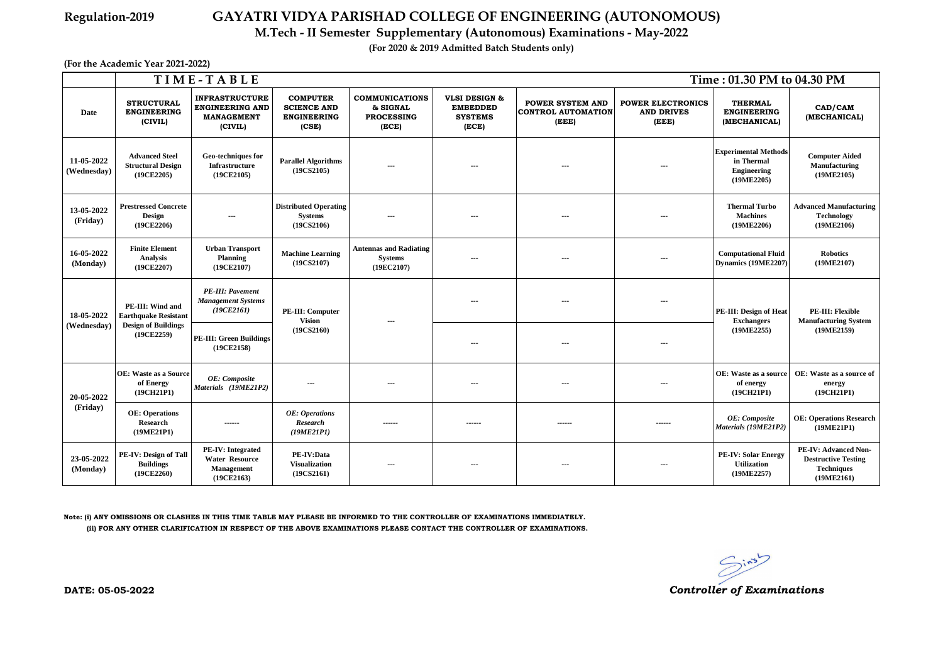|                           | TIME-TABLE<br>Time: 01.30 PM to 04.30 PM                                                    |                                                                                      |                                                                           |                                                                 |                                                                        |                                                               |                                                        |                                                                               |                                                                                              |
|---------------------------|---------------------------------------------------------------------------------------------|--------------------------------------------------------------------------------------|---------------------------------------------------------------------------|-----------------------------------------------------------------|------------------------------------------------------------------------|---------------------------------------------------------------|--------------------------------------------------------|-------------------------------------------------------------------------------|----------------------------------------------------------------------------------------------|
| Date                      | <b>STRUCTURAL</b><br><b>ENGINEERING</b><br>(CIVIL)                                          | <b>INFRASTRUCTURE</b><br><b>ENGINEERING AND</b><br><b>MANAGEMENT</b><br>(CIVIL)      | <b>COMPUTER</b><br><b>SCIENCE AND</b><br><b>ENGINEERING</b><br>(CSE)      | <b>COMMUNICATIONS</b><br>& SIGNAL<br><b>PROCESSING</b><br>(ECE) | <b>VLSI DESIGN &amp;</b><br><b>EMBEDDED</b><br><b>SYSTEMS</b><br>(ECE) | <b>POWER SYSTEM AND</b><br><b>CONTROL AUTOMATION</b><br>(EEE) | <b>POWER ELECTRONICS</b><br><b>AND DRIVES</b><br>(EEE) | <b>THERMAL</b><br><b>ENGINEERING</b><br>(MECHANICAL)                          | CAD/CAM<br>(MECHANICAL)                                                                      |
| 11-05-2022<br>(Wednesday) | <b>Advanced Steel</b><br><b>Structural Design</b><br>(19CE2205)                             | Geo-techniques for<br><b>Infrastructure</b><br>(19CE2105)                            | <b>Parallel Algorithms</b><br>(19CS2105)                                  | ---                                                             |                                                                        | $--$                                                          | $\sim$ $\sim$                                          | <b>Experimental Methods</b><br>in Thermal<br><b>Engineering</b><br>(19ME2205) | <b>Computer Aided</b><br>Manufacturing<br>(19ME2105)                                         |
| 13-05-2022<br>(Friday)    | <b>Prestressed Concrete</b><br><b>Design</b><br>(19CE2206)                                  | ---                                                                                  | <b>Distributed Operating</b><br><b>Systems</b><br>(19C <sub>S2106</sub> ) | $- - -$                                                         | $- - -$                                                                | $- - -$                                                       | $- - -$                                                | <b>Thermal Turbo</b><br><b>Machines</b><br>(19ME2206)                         | <b>Advanced Manufacturing</b><br><b>Technology</b><br>(19ME2106)                             |
| 16-05-2022<br>(Monday)    | <b>Finite Element</b><br><b>Analysis</b><br>(19CE2207)                                      | <b>Urban Transport</b><br><b>Planning</b><br>(19CE2107)                              | <b>Machine Learning</b><br>(19CS2107)                                     | <b>Antennas and Radiating</b><br><b>Systems</b><br>(19EC2107)   | $\sim$ $\sim$                                                          | ---                                                           | ---                                                    | <b>Computational Fluid</b><br>Dynamics (19ME2207)                             | <b>Robotics</b><br>(19ME2107)                                                                |
| 18-05-2022<br>(Wednesday) | PE-III: Wind and<br><b>Earthquake Resistant</b><br><b>Design of Buildings</b><br>(19CE2259) | <b>PE-III: Pavement</b><br><b>Management Systems</b><br>(19CE2161)                   | <b>PE-III: Computer</b><br><b>Vision</b><br>(19CS2160)                    |                                                                 | $-$ – $-$                                                              | $---$                                                         | $\cdots$                                               | PE-III: Design of Heat<br><b>Exchangers</b>                                   | <b>PE-III: Flexible</b><br><b>Manufacturing System</b><br>(19ME2159)                         |
|                           |                                                                                             | <b>PE-III: Green Buildings</b><br>(19CE2158)                                         |                                                                           |                                                                 |                                                                        |                                                               | ---                                                    | (19ME2255)                                                                    |                                                                                              |
| 20-05-2022<br>(Friday)    | <b>OE:</b> Waste as a Source<br>of Energy<br>(19CH21P1)                                     | OE: Composite<br>Materials (19ME21P2)                                                | $---$                                                                     | ---                                                             | $--$                                                                   | $---$                                                         | $\overline{\phantom{a}}$                               | <b>OE:</b> Waste as a source<br>of energy<br>(19CH21P1)                       | OE: Waste as a source of<br>energy<br>(19CH21P1)                                             |
|                           | <b>OE:</b> Operations<br><b>Research</b><br>(19ME21P1)                                      | $- - - - - -$                                                                        | <b>OE:</b> Operations<br><b>Research</b><br>(19ME21P1)                    | ------                                                          | ------                                                                 | ------                                                        | ------                                                 | <b>OE:</b> Composite<br>Materials (19ME21P2)                                  | <b>OE: Operations Research</b><br>(19ME21P1)                                                 |
| 23-05-2022<br>(Monday)    | PE-IV: Design of Tall<br><b>Buildings</b><br>(19CE2260)                                     | <b>PE-IV:</b> Integrated<br><b>Water Resource</b><br><b>Management</b><br>(19CE2163) | PE-IV:Data<br><b>Visualization</b><br>(19C <sub>S2161</sub> )             | ---                                                             |                                                                        | $--$                                                          | $\sim$                                                 | <b>PE-IV: Solar Energy</b><br><b>Utilization</b><br>(19ME2257)                | <b>PE-IV: Advanced Non-</b><br><b>Destructive Testing</b><br><b>Techniques</b><br>(19ME2161) |

**Note: (i) ANY OMISSIONS OR CLASHES IN THIS TIME TABLE MAY PLEASE BE INFORMED TO THE CONTROLLER OF EXAMINATIONS IMMEDIATELY. (ii) FOR ANY OTHER CLARIFICATION IN RESPECT OF THE ABOVE EXAMINATIONS PLEASE CONTACT THE CONTROLLER OF EXAMINATIONS.**

 $\sum_{i=1}^{n}$ 

# **Regulation-2019 GAYATRI VIDYA PARISHAD COLLEGE OF ENGINEERING (AUTONOMOUS)**

**M.Tech - II Semester Supplementary (Autonomous) Examinations - May-2022**

**(For 2020 & 2019 Admitted Batch Students only)**

**(For the Academic Year 2021-2022)**

**DATE: 05-05-2022** *Controller of Examinations*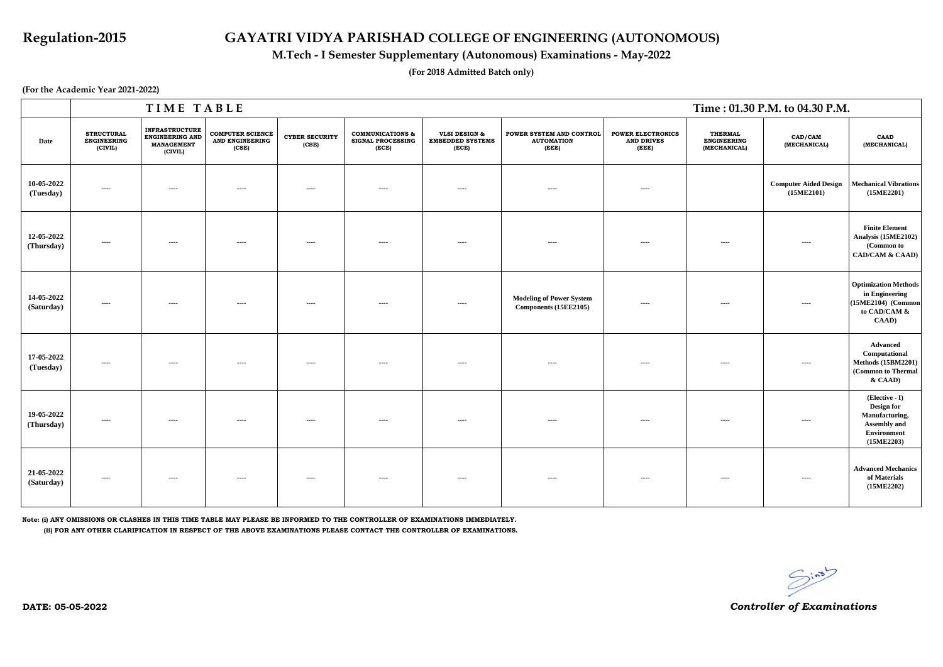|                          |                                                    | TIME TABLE                                                               |                                                     |                                |                                                                  | Time : 01.30 P.M. to 04.30 P.M.                              |                                                          |                                                        |                                                      |                                            |                                                                                                                                   |
|--------------------------|----------------------------------------------------|--------------------------------------------------------------------------|-----------------------------------------------------|--------------------------------|------------------------------------------------------------------|--------------------------------------------------------------|----------------------------------------------------------|--------------------------------------------------------|------------------------------------------------------|--------------------------------------------|-----------------------------------------------------------------------------------------------------------------------------------|
| Date                     | <b>STRUCTURAL</b><br><b>ENGINEERING</b><br>(CIVIL) | <b>INFRASTRUCTURE</b><br>ENGINEERING AND<br><b>MANAGEMENT</b><br>(CIVIL) | <b>COMPUTER SCIENCE</b><br>AND ENGINEERING<br>(CSE) | <b>CYBER SECURITY</b><br>(CSE) | <b>COMMUNICATIONS &amp;</b><br><b>SIGNAL PROCESSING</b><br>(ECE) | <b>VLSI DESIGN &amp;</b><br><b>EMBEDDED SYSTEMS</b><br>(ECE) | POWER SYSTEM AND CONTROL<br><b>AUTOMATION</b><br>(EEE)   | <b>POWER ELECTRONICS</b><br><b>AND DRIVES</b><br>(EEE) | <b>THERMAL</b><br><b>ENGINEERING</b><br>(MECHANICAL) | CAD/CAM<br>(MECHANICAL)                    | <b>CAAD</b><br>(MECHANICAL)                                                                                                       |
| 10-05-2022<br>(Tuesday)  | $\sim$ $\sim$ $\sim$                               | $\sim$ $\sim$ $\sim$                                                     | $\sim$ $\sim$ $\sim$                                | $\cdots$                       | $\cdots$                                                         | $\sim$                                                       | $\sim$ $\sim$ $\sim$                                     | $\cdots$                                               |                                                      | <b>Computer Aided Design</b><br>(15ME2101) | <b>Mechanical Vibrations</b><br>(15ME2201)                                                                                        |
| 12-05-2022<br>(Thursday) | $---$                                              | $\cdots$                                                                 | $\cdots$                                            | $\cdots$                       | $---$                                                            | $\cdots$                                                     | $\cdots$                                                 | $- - - -$                                              | $-- -$                                               | $\cdots$                                   | <b>Finite Element</b><br>Analysis (15ME2102)<br>(Common to<br><b>CAD/CAM &amp; CAAD)</b>                                          |
| 14-05-2022<br>(Saturday) | $\sim$ $\sim$                                      | $\sim$ $\sim$ $\sim$                                                     | $\sim$ $\sim$ $\sim$                                | $\sim$ $\sim$ $\sim$           | $---$                                                            | $\sim$                                                       | <b>Modeling of Power System</b><br>Components (15EE2105) | $\sim$ $\sim$ $\sim$                                   | $\sim$ $\sim$ $\sim$                                 | $\sim$ $\sim$ $\sim$                       | <b>Optimization Methods</b><br>in Engineering<br>(15ME2104) (Common<br>to CAD/CAM &<br>$\mathbf{C}\mathbf{A}\mathbf{A}\mathbf{D}$ |
| 17-05-2022<br>(Tuesday)  | $\cdots$                                           | $\cdots$                                                                 | $\cdots$                                            | $\cdots$                       | ----                                                             | $\cdots$                                                     | $\cdots$                                                 | $\cdots$                                               | $\cdots$                                             | $\cdots$                                   | <b>Advanced</b><br>Computational<br><b>Methods (15BM2201)</b><br>(Common to Thermal<br>$&$ CAAD)                                  |
| 19-05-2022<br>(Thursday) | $\cdots$                                           | $\cdots$                                                                 | $\cdots$                                            | $-- -$                         | $---$                                                            | $\cdots$                                                     | $---$                                                    | $\cdots$                                               | $\sim$                                               | $\cdots$                                   | (Elective - I)<br><b>Design for</b><br>Manufacturing,<br>Assembly and<br>Environment<br>(15ME2203)                                |
| 21-05-2022<br>(Saturday) | $\cdots$                                           | $\cdots$                                                                 | $- - - -$                                           | $- - - -$                      | $\cdots$                                                         | $\cdots$                                                     | $\cdots$                                                 | $\cdots$                                               | $\cdots$                                             | $\cdots$                                   | <b>Advanced Mechanics</b><br>of Materials<br>(15ME2202)                                                                           |

**Note: (i) ANY OMISSIONS OR CLASHES IN THIS TIME TABLE MAY PLEASE BE INFORMED TO THE CONTROLLER OF EXAMINATIONS IMMEDIATELY.**

 **(ii) FOR ANY OTHER CLARIFICATION IN RESPECT OF THE ABOVE EXAMINATIONS PLEASE CONTACT THE CONTROLLER OF EXAMINATIONS.**

## **Regulation-2015 GAYATRI VIDYA PARISHAD COLLEGE OF ENGINEERING (AUTONOMOUS)**

**(For the Academic Year 2021-2022)**

### **M.Tech - I Semester Supplementary (Autonomous) Examinations - May-2022**

**(For 2018 Admitted Batch only)**

*Controller of Examinations*